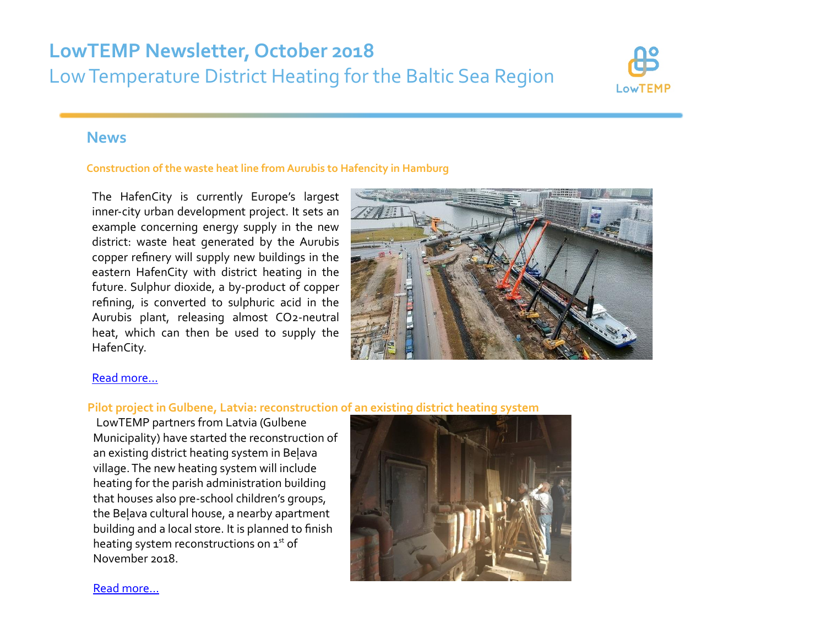# **LowTEMP Newsletter, October 2018** Low Temperature District Heating for the Baltic Sea Region



# **News**

#### **Construction of the waste heat line from Aurubis to Hafencity in Hamburg**

The HafenCity is currently Europe's largest inner-city urban development project. It sets an example concerning energy supply in the new district: waste heat generated by the Aurubis copper refinery will supply new buildings in the eastern HafenCity with district heating in the future. Sulphur dioxide, a by-product of copper refining, is converted to sulphuric acid in the Aurubis plant, releasing almost CO2-neutral heat, which can then be used to supply the HafenCity.



# [Read more…](http://www.lowtemp.eu/examples/construction-of-the-waste-heat-line-from-aurubis-to-hafencity-in-hamburg/)

## **Pilot project in Gulbene, Latvia: reconstruction of an existing district heating system**

LowTEMP partners from Latvia (Gulbene Municipality) have started the reconstruction of an existing district heating system in Beļava village. The new heating system will include heating for the parish administration building that houses also pre-school children's groups, the Beļava cultural house, a nearby apartment building and a local store. It is planned to finish heating system reconstructions on  $1<sup>st</sup>$  of November 2018.



[Read more…](http://www.lowtemp.eu/uncategorized/pilot-project-in-gulbene-latvia-reconstruction-of-an-existing-district-heating-system/)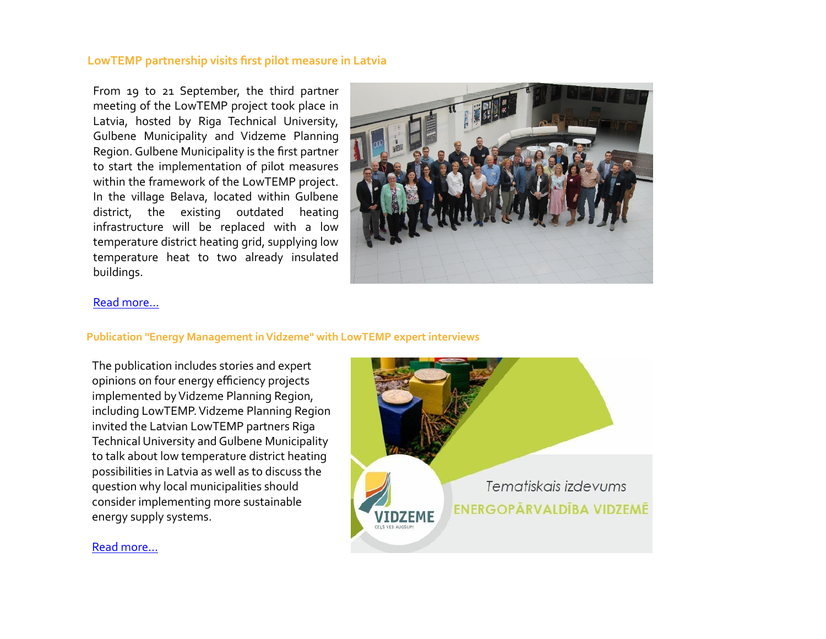## **LowTEMP partnership visits first pilot measure in Latvia**

From 19 to 21 September, the third partner meeting of the LowTEMP project took place in Latvia, hosted by Riga Technical University, Gulbene Municipality and Vidzeme Planning Region. Gulbene Municipality is the first partner to start the implementation of pilot measures within the framework of the LowTEMP project. In the village Belava, located within Gulbene district, the existing outdated heating infrastructure will be replaced with a low temperature district heating grid, supplying low temperature heat to two already insulated buildings.



#### [Read more…](http://www.lowtemp.eu/events/start-of-first-pilot-measures-in-latvia/)

#### **Publication "Energy Management in Vidzeme" with LowTEMP expert interviews**

The publication includes stories and expert opinions on four energy efficiency projects implemented by Vidzeme Planning Region, including LowTEMP. Vidzeme Planning Region invited the Latvian LowTEMP partners Riga Technical University and Gulbene Municipality to talk about low temperature district heating possibilities in Latvia as well as to discuss the question why local municipalities should consider implementing more sustainable energy supply systems.



# [Read more...](http://www.lowtemp.eu/examples/publication-energy-management-in-vidzeme-with-lowtemp-expert-interviews/)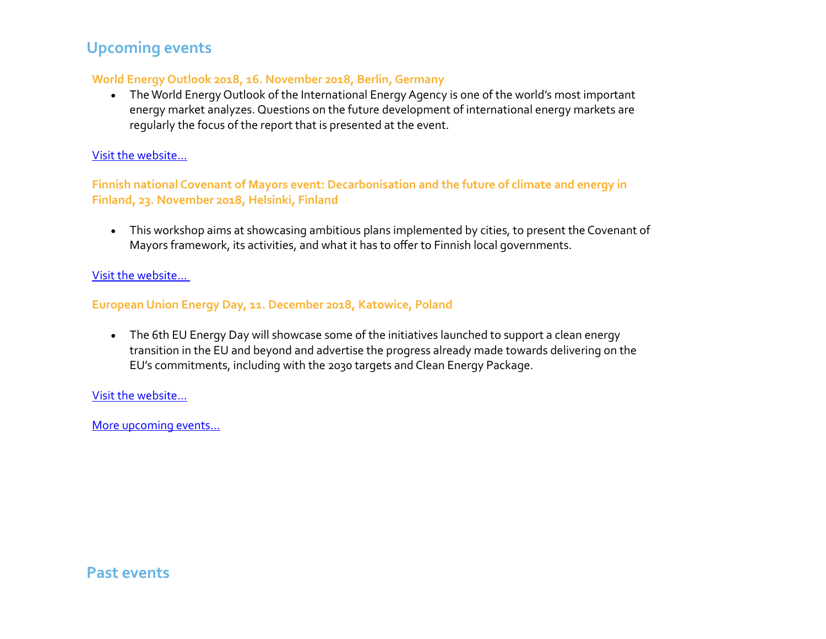# **Upcoming events**

# **World Energy Outlook 2018, 16. November 2018, Berlin, Germany**

 The World Energy Outlook of the International Energy Agency is one of the world's most important energy market analyzes. Questions on the future development of international energy markets are regularly the focus of the report that is presented at the event.

# [Visit the website...](https://www.worldenergy.org/events/9034fd3e-76af-e811-80c7-00155d050ff0/)

**Finnish national Covenant of Mayors event: Decarbonisation and the future of climate and energy in Finland, 23. November 2018, Helsinki, Finland**

 This workshop aims at showcasing ambitious plans implemented by cities, to present the Covenant of Mayors framework, its activities, and what it has to offer to Finnish local governments.

# [Visit the website...](https://www.covenantofmayors.eu/news-and-events/events/upcoming-events/2023-finnish-national-covenant-of-mayors-event-decarbonisation-and-the-future-of-climate-and-energy-in-finland.html)

# **European Union Energy Day, 11. December 2018, Katowice, Poland**

• The 6th EU Energy Day will showcase some of the initiatives launched to support a clean energy transition in the EU and beyond and advertise the progress already made towards delivering on the EU's commitments, including with the 2030 targets and Clean Energy Package.

# [Visit the website...](https://ec.europa.eu/info/events/eu-energy-day-cop24-cop24-eu-pavilion-2018-dec-11_en)

[More upcoming events…](http://www.lowtemp.eu/events/)

# **Past events**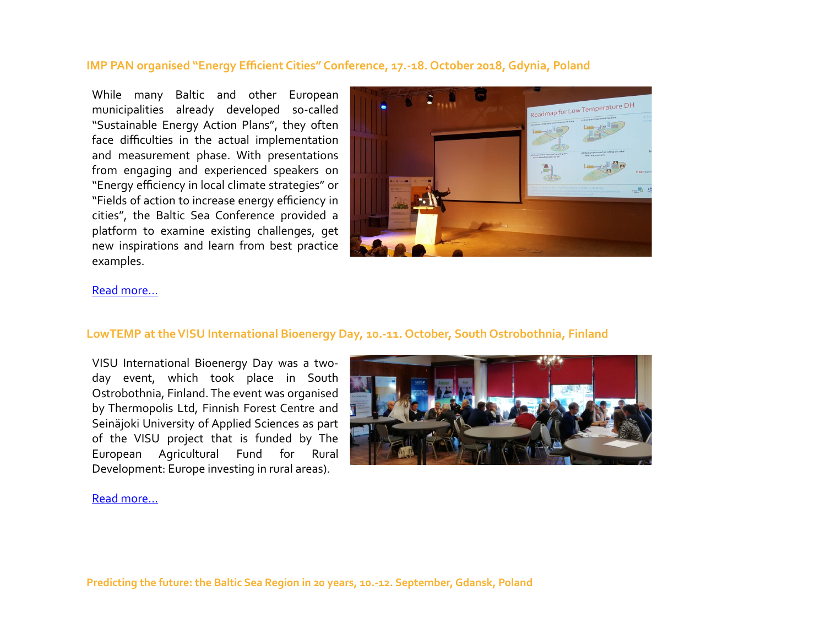# **IMP PAN organised "Energy Efficient Cities" Conference, 17.-18. October 2018, Gdynia, Poland**

While many Baltic and other European municipalities already developed so-called "Sustainable Energy Action Plans", they often face difficulties in the actual implementation and measurement phase. With presentations from engaging and experienced speakers on "Energy efficiency in local climate strategies" or "Fields of action to increase energy efficiency in cities", the Baltic Sea Conference provided a platform to examine existing challenges, get new inspirations and learn from best practice examples.



#### [Read more...](http://www.lowtemp.eu/uncategorized/imp-pan-organised-energy-efficient-cities-conference-in-gdansk-poland/)

#### **LowTEMP at the VISU International Bioenergy Day, 10.-11. October, South Ostrobothnia, Finland**

VISU International Bioenergy Day was a twoday event, which took place in South Ostrobothnia, Finland. The event was organised by Thermopolis Ltd, Finnish Forest Centre and Seinäjoki University of Applied Sciences as part of the VISU project that is funded by The European Agricultural Fund for Rural Development: Europe investing in rural areas).



#### [Read more...](http://www.lowtemp.eu/uncategorized/lowtemp-at-the-visu-international-bioenergy-day/)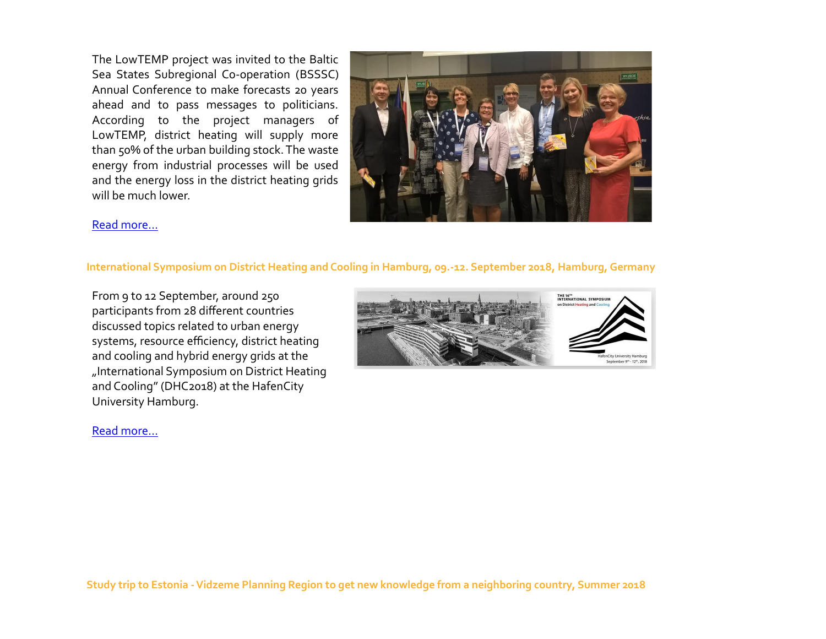The LowTEMP project was invited to the Baltic Sea States Subregional Co-operation [\(BSSSC\)](https://www.bsssc.com/) Annual Conference to make forecasts 20 years ahead and to pass messages to politicians. According to the project managers of LowTEMP, district heating will supply more than 50% of the urban building stock. The waste energy from industrial processes will be used and the energy loss in the district heating grids will be much lower.



## [Read more...](http://www.lowtemp.eu/events/predicting-the-future-the-baltic-sea-region-in-20-years/)

#### **International Symposium on District Heating and Cooling in Hamburg, 09.-12. September 2018, Hamburg, Germany**

From 9 to 12 September, around 250 participants from 28 different countries discussed topics related to urban energy systems, resource efficiency, district heating and cooling and hybrid energy grids at the ["International Symposium on District Heating](http://www.lowtemp.eu/events/international-symposium-on-district-heating-and-cooling-in-hamburg/)  [and Cooling" \(DHC2018\) at the HafenCity](http://www.lowtemp.eu/events/international-symposium-on-district-heating-and-cooling-in-hamburg/)  [University Hamburg.](http://www.lowtemp.eu/events/international-symposium-on-district-heating-and-cooling-in-hamburg/)



#### Read more...